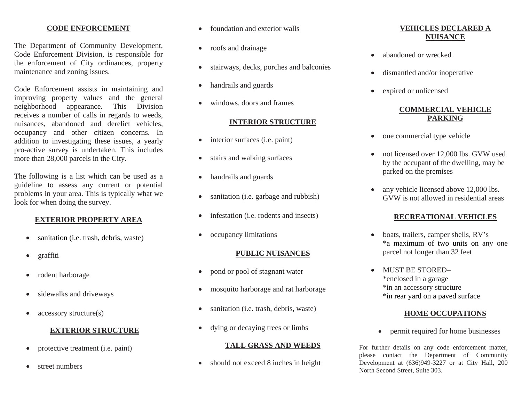#### **CODE ENFORCEMENT**

The Department of Community Development, Code Enforcement Division, is responsible for the enforcement of City ordinances, property maintenance and zoning issues.

Code Enforcement assists in maintaining and improving property values and the general neighborhood appearance. This Division receives a number of calls in regards to weeds, nuisances, abandoned and derelict vehicles, occupancy and other citizen concerns. In addition to investigating these issues, a yearly pro-active survey is undertaken. This includes more than 28,000 parcels in the City.

The following is a list which can be used as a guideline to assess any current or potential problems in your area. This is typically what we look for when doing the survey.

#### **EXTERIOR PROPERTY AREA**

- •sanitation (i.e. trash, debris, waste)
- •graffiti
- •rodent harborage
- $\bullet$ sidewalks and driveways
- •accessory structure(s)

#### **EXTERIOR STRUCTURE**

- $\bullet$ protective treatment (i.e. paint)
- •street numbers
- •foundation and exterior walls
- roofs and drainage
- •stairways, decks, porches and balconies
- •handrails and guards
- •windows, doors and frames

#### **INTERIOR STRUCTURE**

- •interior surfaces (i.e. paint)
- $\bullet$ stairs and walking surfaces
- •handrails and guards
- $\bullet$ sanitation (i.e. garbage and rubbish)
- •infestation (i.e. rodents and insects)
- •occupancy limitations

#### **PUBLIC NUISANCES**

- •pond or pool of stagnant water
- •mosquito harborage and rat harborage
- •sanitation (i.e. trash, debris, waste)
- •dying or decaying trees or limbs

#### **TALL GRASS AND WEEDS**

•should not exceed 8 inches in height

## **VEHICLES DECLARED A NUISANCE**

- •abandoned or wrecked
- $\bullet$ dismantled and/or inoperative
- •expired or unlicensed

## **COMMERCIAL VEHICLE PARKING**

- $\bullet$ one commercial type vehicle
- $\bullet$  not licensed over 12,000 lbs. GVW used by the occupant of the dwelling, may be parked on the premises
- • any vehicle licensed above 12,000 lbs. GVW is not allowed in residential areas

## **RECREATIONAL VEHICLES**

- $\bullet$  boats, trailers, camper shells, RV's \*a maximum of two units on any one parcel not longer than 32 feet
- • MUST BE STORED– \*enclosed in a garage \*in an accessory structure \*in rear yard on a paved surface

#### **HOME OCCUPATIONS**

•permit required for home businesses

For further details on any code enforcement matter, please contact the Department of Community Development at  $(636)949-3227$  or at City Hall,  $200$ North Second Street, Suite 303.